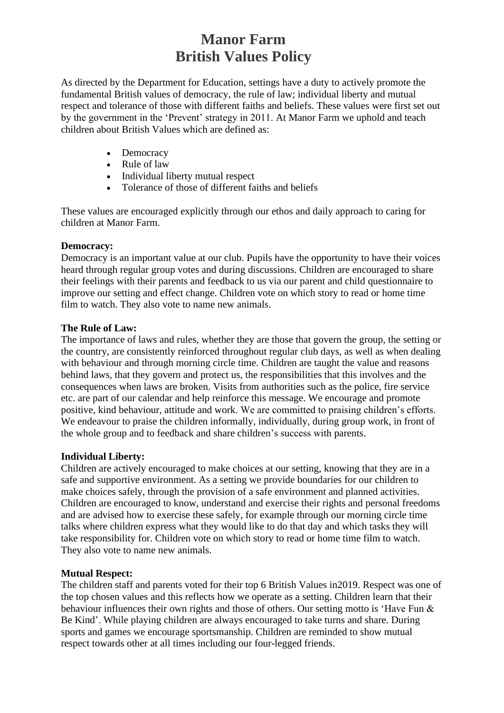# **Manor Farm British Values Policy**

As directed by the Department for Education, settings have a duty to actively promote the fundamental British values of democracy, the rule of law; individual liberty and mutual respect and tolerance of those with different faiths and beliefs. These values were first set out by the government in the 'Prevent' strategy in 2011. At Manor Farm we uphold and teach children about British Values which are defined as:

- Democracy
- Rule of law
- Individual liberty mutual respect
- Tolerance of those of different faiths and beliefs

These values are encouraged explicitly through our ethos and daily approach to caring for children at Manor Farm.

#### **Democracy:**

Democracy is an important value at our club. Pupils have the opportunity to have their voices heard through regular group votes and during discussions. Children are encouraged to share their feelings with their parents and feedback to us via our parent and child questionnaire to improve our setting and effect change. Children vote on which story to read or home time film to watch. They also vote to name new animals.

#### **The Rule of Law:**

The importance of laws and rules, whether they are those that govern the group, the setting or the country, are consistently reinforced throughout regular club days, as well as when dealing with behaviour and through morning circle time. Children are taught the value and reasons behind laws, that they govern and protect us, the responsibilities that this involves and the consequences when laws are broken. Visits from authorities such as the police, fire service etc. are part of our calendar and help reinforce this message. We encourage and promote positive, kind behaviour, attitude and work. We are committed to praising children's efforts. We endeavour to praise the children informally, individually, during group work, in front of the whole group and to feedback and share children's success with parents.

#### **Individual Liberty:**

Children are actively encouraged to make choices at our setting, knowing that they are in a safe and supportive environment. As a setting we provide boundaries for our children to make choices safely, through the provision of a safe environment and planned activities. Children are encouraged to know, understand and exercise their rights and personal freedoms and are advised how to exercise these safely, for example through our morning circle time talks where children express what they would like to do that day and which tasks they will take responsibility for. Children vote on which story to read or home time film to watch. They also vote to name new animals.

#### **Mutual Respect:**

The children staff and parents voted for their top 6 British Values in2019. Respect was one of the top chosen values and this reflects how we operate as a setting. Children learn that their behaviour influences their own rights and those of others. Our setting motto is 'Have Fun & Be Kind'. While playing children are always encouraged to take turns and share. During sports and games we encourage sportsmanship. Children are reminded to show mutual respect towards other at all times including our four-legged friends.